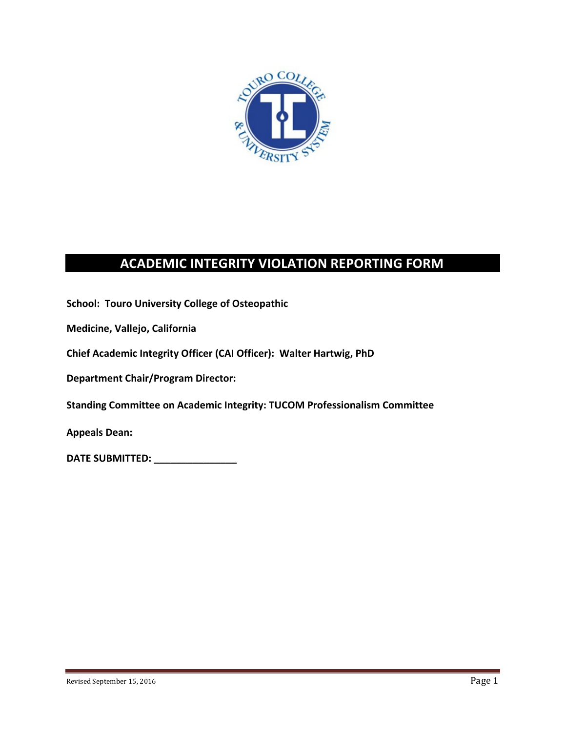

# **ACADEMIC INTEGRITY VIOLATION REPORTING FORM**

**School: Touro University College of Osteopathic** 

**Medicine, Vallejo, California**

**Chief Academic Integrity Officer (CAI Officer): Walter Hartwig, PhD**

**Department Chair/Program Director:**

**Standing Committee on Academic Integrity: TUCOM Professionalism Committee**

**Appeals Dean:**

**DATE SUBMITTED: \_\_\_\_\_\_\_\_\_\_\_\_\_\_\_**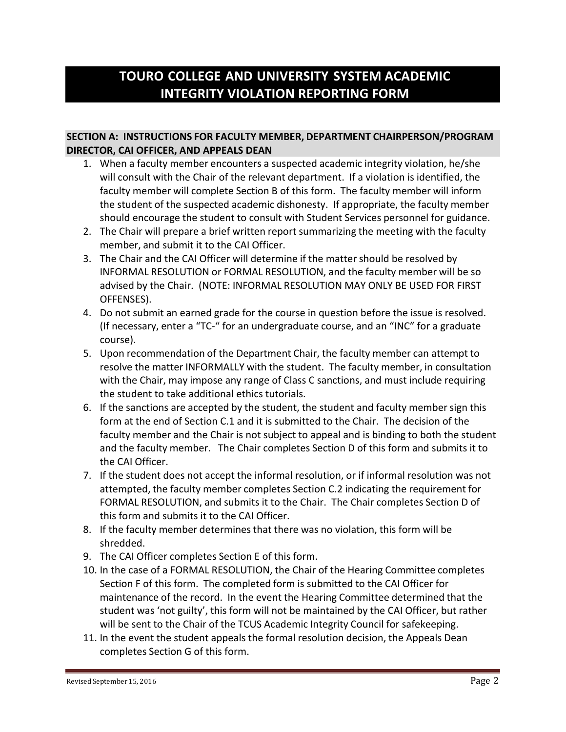# **TOURO COLLEGE AND UNIVERSITY SYSTEM ACADEMIC INTEGRITY VIOLATION REPORTING FORM**

## **SECTION A: INSTRUCTIONS FOR FACULTY MEMBER, DEPARTMENT CHAIRPERSON/PROGRAM DIRECTOR, CAI OFFICER, AND APPEALS DEAN**

- 1. When a faculty member encounters a suspected academic integrity violation, he/she will consult with the Chair of the relevant department. If a violation is identified, the faculty member will complete Section B of this form. The faculty member will inform the student of the suspected academic dishonesty. If appropriate, the faculty member should encourage the student to consult with Student Services personnel for guidance.
- 2. The Chair will prepare a brief written report summarizing the meeting with the faculty member, and submit it to the CAI Officer.
- 3. The Chair and the CAI Officer will determine if the matter should be resolved by INFORMAL RESOLUTION or FORMAL RESOLUTION, and the faculty member will be so advised by the Chair. (NOTE: INFORMAL RESOLUTION MAY ONLY BE USED FOR FIRST OFFENSES).
- 4. Do not submit an earned grade for the course in question before the issue is resolved. (If necessary, enter a "TC-" for an undergraduate course, and an "INC" for a graduate course).
- 5. Upon recommendation of the Department Chair, the faculty member can attempt to resolve the matter INFORMALLY with the student. The faculty member, in consultation with the Chair, may impose any range of Class C sanctions, and must include requiring the student to take additional ethics tutorials.
- 6. If the sanctions are accepted by the student, the student and faculty member sign this form at the end of Section C.1 and it is submitted to the Chair. The decision of the faculty member and the Chair is not subject to appeal and is binding to both the student and the faculty member. The Chair completes Section D of this form and submits it to the CAI Officer.
- 7. If the student does not accept the informal resolution, or if informal resolution was not attempted, the faculty member completes Section C.2 indicating the requirement for FORMAL RESOLUTION, and submits it to the Chair. The Chair completes Section D of this form and submits it to the CAI Officer.
- 8. If the faculty member determinesthat there was no violation, this form will be shredded.
- 9. The CAI Officer completes Section E of this form.
- 10. In the case of a FORMAL RESOLUTION, the Chair of the Hearing Committee completes Section F of this form. The completed form is submitted to the CAI Officer for maintenance of the record. In the event the Hearing Committee determined that the student was 'not guilty', this form will not be maintained by the CAI Officer, but rather will be sent to the Chair of the TCUS Academic Integrity Council for safekeeping.
- 11. In the event the student appeals the formal resolution decision, the Appeals Dean completes Section G of this form.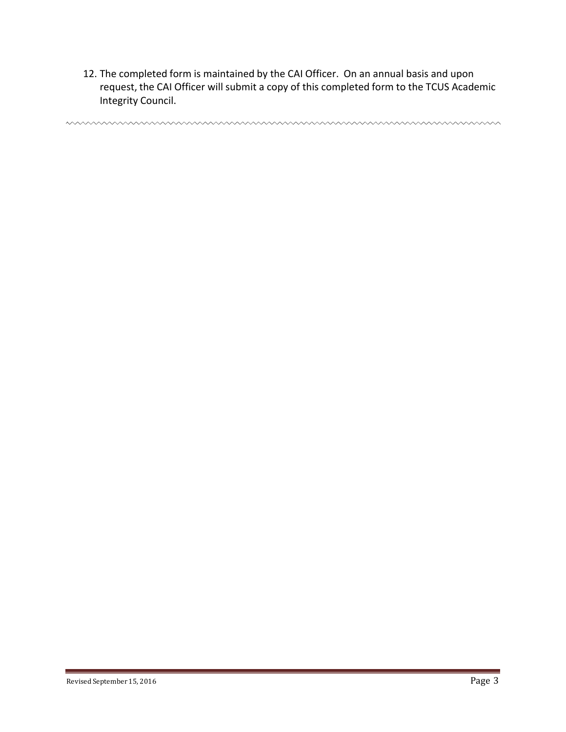12. The completed form is maintained by the CAI Officer. On an annual basis and upon request, the CAI Officer will submit a copy of this completed form to the TCUS Academic Integrity Council.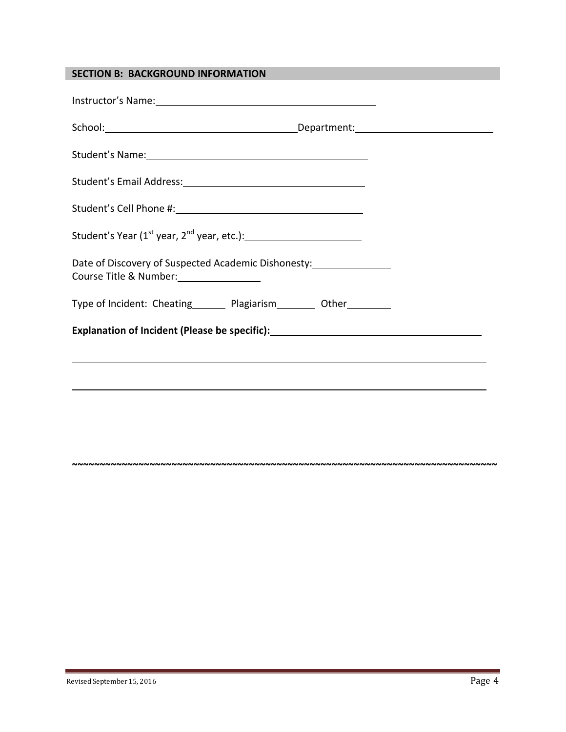## **SECTION B: BACKGROUND INFORMATION**

| Instructor's Name: Name and Second Contract of the Contract of the Contract of the Contract of the Contract of the Contract of the Contract of the Contract of the Contract of the Contract of the Contract of the Contract of       |                                                                                  |
|--------------------------------------------------------------------------------------------------------------------------------------------------------------------------------------------------------------------------------------|----------------------------------------------------------------------------------|
|                                                                                                                                                                                                                                      |                                                                                  |
| Student's Name: <u>contract and a series of the series of the series of the series of the series of the series of the series of the series of the series of the series of the series of the series of the series of the series o</u> |                                                                                  |
|                                                                                                                                                                                                                                      |                                                                                  |
|                                                                                                                                                                                                                                      |                                                                                  |
| Student's Year (1 <sup>st</sup> year, 2 <sup>nd</sup> year, etc.): __________________________________                                                                                                                                |                                                                                  |
| Date of Discovery of Suspected Academic Dishonesty:_____________________________                                                                                                                                                     |                                                                                  |
| Type of Incident: Cheating__________ Plagiarism___________ Other__________                                                                                                                                                           |                                                                                  |
|                                                                                                                                                                                                                                      |                                                                                  |
|                                                                                                                                                                                                                                      |                                                                                  |
|                                                                                                                                                                                                                                      |                                                                                  |
|                                                                                                                                                                                                                                      | ,我们也不会有什么。""我们的人,我们也不会有什么?""我们的人,我们也不会有什么?""我们的人,我们也不会有什么?""我们的人,我们也不会有什么?""我们的人 |
|                                                                                                                                                                                                                                      |                                                                                  |
|                                                                                                                                                                                                                                      |                                                                                  |

**~~~~~~~~~~~~~~~~~~~~~~~~~~~~~~~~~~~~~~~~~~~~~~~~~~~~~~~~~~~~~~~~~~~~~~~~~~~~~**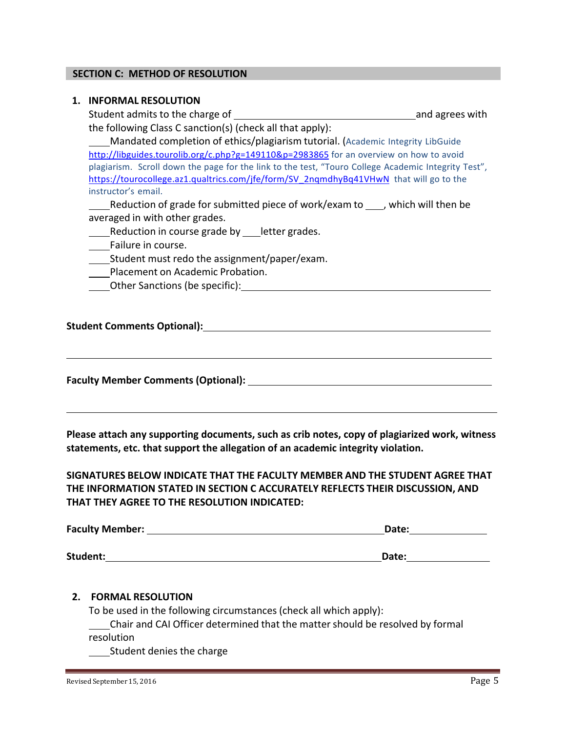#### **SECTION C: METHOD OF RESOLUTION**

#### **1. INFORMAL RESOLUTION**

Student admits to the charge of and agrees with the following Class C sanction(s) (check all that apply):

Mandated completion of ethics/plagiarism tutorial. (Academic Integrity LibGuide <http://libguides.tourolib.org/c.php?g=149110&p=2983865> for an overview on how to avoid plagiarism. Scroll down the page for the link to the test, "Touro College Academic Integrity Test", https://tourocollege.az1.qualtrics.com/jfe/form/SV\_2nqmdhyBq41VHwN\_that will go to the instructor's email.

Reduction of grade for submitted piece of work/exam to , which will then be averaged in with other grades.

Reduction in course grade by letter grades.

- Failure in course.
- Student must redo the assignment/paper/exam.
- Placement on Academic Probation.
- Other Sanctions (be specific):

## **Student Comments Optional):**

**Faculty Member Comments (Optional):**

**Please attach any supporting documents, such as crib notes, copy of plagiarized work, witness statements, etc. that support the allegation of an academic integrity violation.** 

## **SIGNATURES BELOW INDICATE THAT THE FACULTY MEMBER AND THE STUDENT AGREE THAT THE INFORMATION STATED IN SECTION C ACCURATELY REFLECTS THEIR DISCUSSION, AND THAT THEY AGREE TO THE RESOLUTION INDICATED:**

| <b>Faculty Member:</b> | Date: |
|------------------------|-------|
| Student:               | Date: |

#### **2. FORMAL RESOLUTION**

To be used in the following circumstances(check all which apply):

Chair and CAI Officer determined that the matter should be resolved by formal resolution

Student denies the charge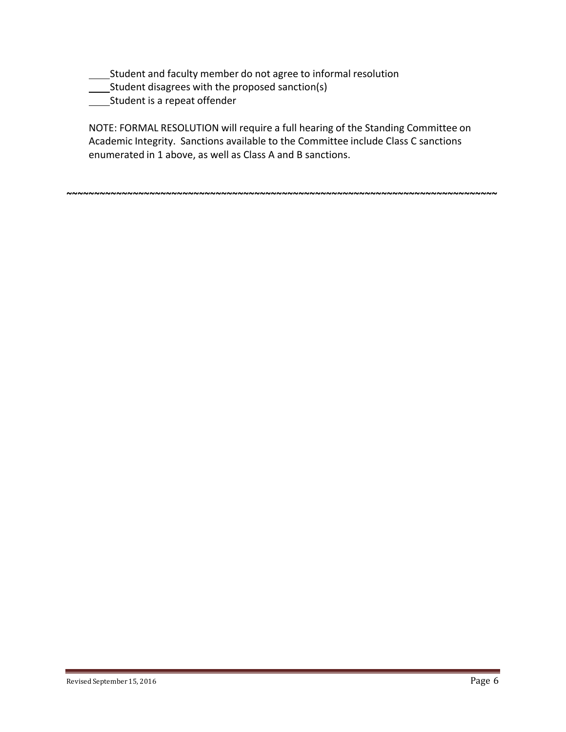- Student and faculty member do not agree to informal resolution
- Student disagrees with the proposed sanction(s)
- **Student is a repeat offender**

NOTE: FORMAL RESOLUTION will require a full hearing of the Standing Committee on Academic Integrity. Sanctions available to the Committee include Class C sanctions enumerated in 1 above, as well as Class A and B sanctions.

**~~~~~~~~~~~~~~~~~~~~~~~~~~~~~~~~~~~~~~~~~~~~~~~~~~~~~~~~~~~~~~~~~~~~~~~~~~~~~~**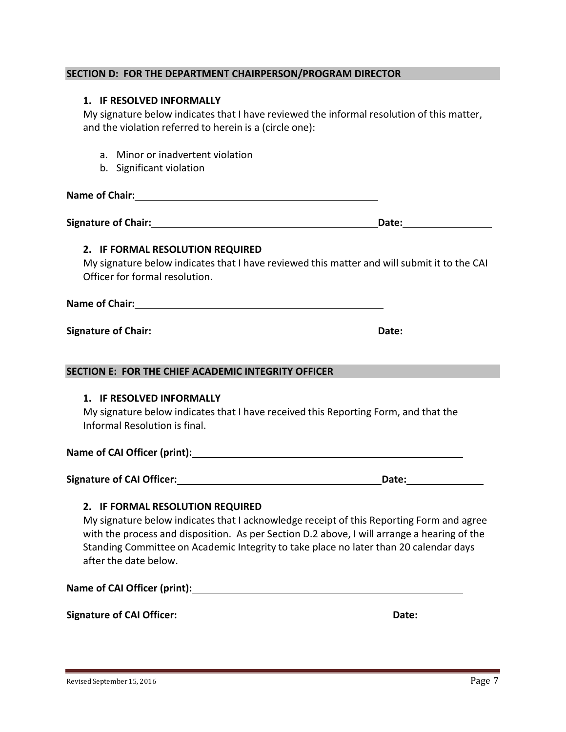#### **SECTION D: FOR THE DEPARTMENT CHAIRPERSON/PROGRAM DIRECTOR**

#### **1. IF RESOLVED INFORMALLY**

My signature below indicates that I have reviewed the informal resolution of this matter, and the violation referred to herein is a (circle one):

- a. Minor or inadvertent violation
- b. Significant violation

**Name of Chair:**

**Signature of Chair: Date: Date: Date: Date: Date: Date: Date: Date: Date: Date: Date: Date: Date: Date: Date: Date: Date: Date: Date: Date: Date: Date: Date: Date: Date:**

#### **2. IF FORMAL RESOLUTION REQUIRED**

My signature below indicates that I have reviewed this matter and will submit it to the CAI Officer for formal resolution.

**Name of Chair:**

**Signature of Chair: Date: Date: Date: Date: Date: Date: Date: Date: Date: Date: Date: Date: Date: Date: Date: Date: Date: Date: Date: Date: Date: Date: Date: Date: Date:**

#### **SECTION E: FOR THE CHIEF ACADEMIC INTEGRITY OFFICER**

#### **1. IF RESOLVED INFORMALLY**

My signature below indicates that I have received this Reporting Form, and that the Informal Resolution is final.

#### **Name of CAI Officer (print):**

**Signature of CAI Officer: Date:**

### **2. IF FORMAL RESOLUTION REQUIRED**

My signature below indicates that I acknowledge receipt of this Reporting Form and agree with the process and disposition. As per Section D.2 above, I will arrange a hearing of the Standing Committee on Academic Integrity to take place no later than 20 calendar days after the date below.

**Name of CAI Officer (print):**

**Signature of CAI Officer: Date: Date: Date: Date: Date: Date: Date: Date: Date: Date: Date: Date: Date: Date: Date: Date: Date: Date: Date: Date: Date: Date: Date: Date: D**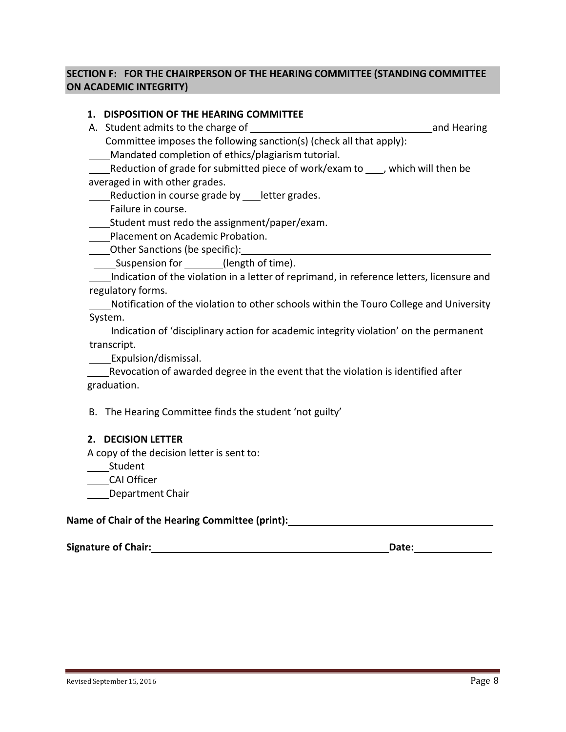## **SECTION F: FOR THE CHAIRPERSON OF THE HEARING COMMITTEE (STANDING COMMITTEE ON ACADEMIC INTEGRITY)**

## **1. DISPOSITION OF THE HEARING COMMITTEE**

A. Student admits to the charge of and Hearing and Hearing Committee imposes the following sanction(s) (check all that apply): Mandated completion of ethics/plagiarism tutorial. Reduction of grade for submitted piece of work/exam to  $\Box$ , which will then be averaged in with other grades. Reduction in course grade by \_\_\_ letter grades. **Failure in course.** \_\_\_\_Student must redo the assignment/paper/exam. **Nacement on Academic Probation.** Other Sanctions (be specific): **Suspension for \_\_\_\_\_\_(length of time).** Indication of the violation in a letter of reprimand, in reference letters, licensure and regulatory forms. Notification of the violation to other schools within the Touro College and University System. Indication of 'disciplinary action for academic integrity violation' on the permanent transcript. \_\_\_\_\_Expulsion/dismissal. \_Revocation of awarded degree in the event that the violation is identified after graduation. B. The Hearing Committee finds the student 'not guilty' **2. DECISION LETTER** A copy of the decision letter is sent to: \_\_\_\_\_Student

CAI Officer

Department Chair

### **Name of Chair of the Hearing Committee (print):**

| Signature of Chair: | Date: |
|---------------------|-------|
|                     |       |